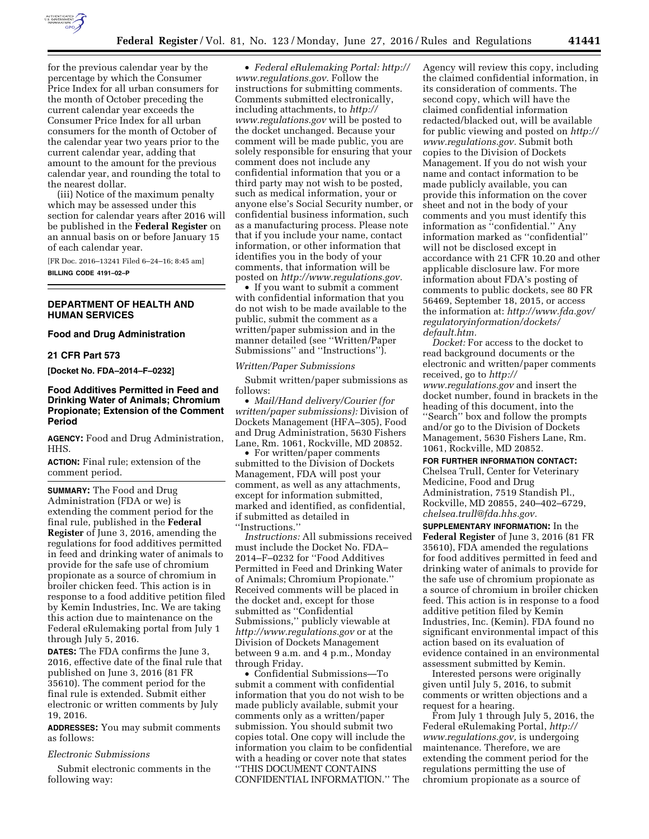

for the previous calendar year by the percentage by which the Consumer Price Index for all urban consumers for the month of October preceding the current calendar year exceeds the Consumer Price Index for all urban consumers for the month of October of the calendar year two years prior to the current calendar year, adding that amount to the amount for the previous calendar year, and rounding the total to the nearest dollar.

(iii) Notice of the maximum penalty which may be assessed under this section for calendar years after 2016 will be published in the **Federal Register** on an annual basis on or before January 15 of each calendar year.

[FR Doc. 2016–13241 Filed 6–24–16; 8:45 am] **BILLING CODE 4191–02–P** 

### **DEPARTMENT OF HEALTH AND HUMAN SERVICES**

#### **Food and Drug Administration**

### **21 CFR Part 573**

**[Docket No. FDA–2014–F–0232]** 

## **Food Additives Permitted in Feed and Drinking Water of Animals; Chromium Propionate; Extension of the Comment Period**

**AGENCY:** Food and Drug Administration, HHS.

**ACTION:** Final rule; extension of the comment period.

**SUMMARY:** The Food and Drug Administration (FDA or we) is extending the comment period for the final rule, published in the **Federal Register** of June 3, 2016, amending the regulations for food additives permitted in feed and drinking water of animals to provide for the safe use of chromium propionate as a source of chromium in broiler chicken feed. This action is in response to a food additive petition filed by Kemin Industries, Inc. We are taking this action due to maintenance on the Federal eRulemaking portal from July 1 through July 5, 2016.

**DATES:** The FDA confirms the June 3, 2016, effective date of the final rule that published on June 3, 2016 (81 FR 35610). The comment period for the final rule is extended. Submit either electronic or written comments by July 19, 2016.

**ADDRESSES:** You may submit comments as follows:

### *Electronic Submissions*

Submit electronic comments in the following way:

• *Federal eRulemaking Portal: [http://](http://www.regulations.gov)  [www.regulations.gov.](http://www.regulations.gov)* Follow the instructions for submitting comments. Comments submitted electronically, including attachments, to *[http://](http://www.regulations.gov) [www.regulations.gov](http://www.regulations.gov)* will be posted to the docket unchanged. Because your comment will be made public, you are solely responsible for ensuring that your comment does not include any confidential information that you or a third party may not wish to be posted, such as medical information, your or anyone else's Social Security number, or confidential business information, such as a manufacturing process. Please note that if you include your name, contact information, or other information that identifies you in the body of your comments, that information will be posted on *[http://www.regulations.gov.](http://www.regulations.gov)* 

• If you want to submit a comment with confidential information that you do not wish to be made available to the public, submit the comment as a written/paper submission and in the manner detailed (see ''Written/Paper Submissions'' and ''Instructions'').

*Written/Paper Submissions* 

Submit written/paper submissions as follows:

• *Mail/Hand delivery/Courier (for written/paper submissions):* Division of Dockets Management (HFA–305), Food and Drug Administration, 5630 Fishers Lane, Rm. 1061, Rockville, MD 20852.

• For written/paper comments submitted to the Division of Dockets Management, FDA will post your comment, as well as any attachments, except for information submitted, marked and identified, as confidential, if submitted as detailed in ''Instructions.''

*Instructions:* All submissions received must include the Docket No. FDA– 2014–F–0232 for ''Food Additives Permitted in Feed and Drinking Water of Animals; Chromium Propionate.'' Received comments will be placed in the docket and, except for those submitted as ''Confidential Submissions,'' publicly viewable at *<http://www.regulations.gov>* or at the Division of Dockets Management between 9 a.m. and 4 p.m., Monday through Friday.

• Confidential Submissions—To submit a comment with confidential information that you do not wish to be made publicly available, submit your comments only as a written/paper submission. You should submit two copies total. One copy will include the information you claim to be confidential with a heading or cover note that states ''THIS DOCUMENT CONTAINS CONFIDENTIAL INFORMATION.'' The

Agency will review this copy, including the claimed confidential information, in its consideration of comments. The second copy, which will have the claimed confidential information redacted/blacked out, will be available for public viewing and posted on *[http://](http://www.regulations.gov)  [www.regulations.gov.](http://www.regulations.gov)* Submit both copies to the Division of Dockets Management. If you do not wish your name and contact information to be made publicly available, you can provide this information on the cover sheet and not in the body of your comments and you must identify this information as ''confidential.'' Any information marked as ''confidential'' will not be disclosed except in accordance with 21 CFR 10.20 and other applicable disclosure law. For more information about FDA's posting of comments to public dockets, see 80 FR 56469, September 18, 2015, or access the information at: *[http://www.fda.gov/](http://www.fda.gov/regulatoryinformation/dockets/default.htm)  [regulatoryinformation/dockets/](http://www.fda.gov/regulatoryinformation/dockets/default.htm) [default.htm.](http://www.fda.gov/regulatoryinformation/dockets/default.htm)* 

*Docket:* For access to the docket to read background documents or the electronic and written/paper comments received, go to *[http://](http://www.regulations.gov) [www.regulations.gov](http://www.regulations.gov)* and insert the docket number, found in brackets in the heading of this document, into the ''Search'' box and follow the prompts and/or go to the Division of Dockets Management, 5630 Fishers Lane, Rm. 1061, Rockville, MD 20852.

**FOR FURTHER INFORMATION CONTACT:**  Chelsea Trull, Center for Veterinary

Medicine, Food and Drug Administration, 7519 Standish Pl., Rockville, MD 20855, 240–402–6729, *[chelsea.trull@fda.hhs.gov.](mailto:chelsea.trull@fda.hhs.gov)* 

**SUPPLEMENTARY INFORMATION:** In the **Federal Register** of June 3, 2016 (81 FR 35610), FDA amended the regulations for food additives permitted in feed and drinking water of animals to provide for the safe use of chromium propionate as a source of chromium in broiler chicken feed. This action is in response to a food additive petition filed by Kemin Industries, Inc. (Kemin). FDA found no significant environmental impact of this action based on its evaluation of evidence contained in an environmental assessment submitted by Kemin.

Interested persons were originally given until July 5, 2016, to submit comments or written objections and a request for a hearing.

From July 1 through July 5, 2016, the Federal eRulemaking Portal, *[http://](http://www.regulations.gov) [www.regulations.gov,](http://www.regulations.gov)* is undergoing maintenance. Therefore, we are extending the comment period for the regulations permitting the use of chromium propionate as a source of